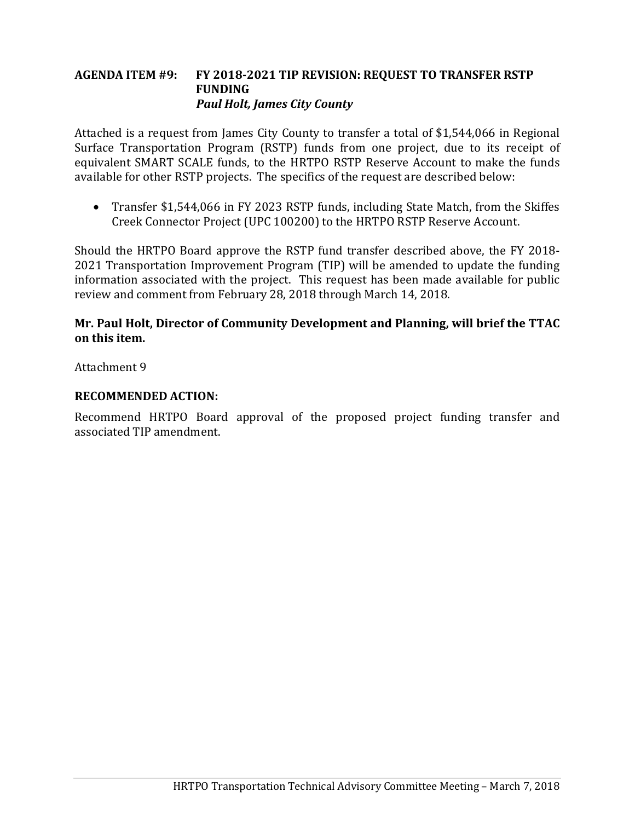### **AGENDA ITEM #9: FY 2018-2021 TIP REVISION: REQUEST TO TRANSFER RSTP FUNDING** *Paul Holt, James City County*

Attached is a request from James City County to transfer a total of \$1,544,066 in Regional Surface Transportation Program (RSTP) funds from one project, due to its receipt of equivalent SMART SCALE funds, to the HRTPO RSTP Reserve Account to make the funds available for other RSTP projects. The specifics of the request are described below:

• Transfer \$1,544,066 in FY 2023 RSTP funds, including State Match, from the Skiffes Creek Connector Project (UPC 100200) to the HRTPO RSTP Reserve Account.

Should the HRTPO Board approve the RSTP fund transfer described above, the FY 2018- 2021 Transportation Improvement Program (TIP) will be amended to update the funding information associated with the project. This request has been made available for public review and comment from February 28, 2018 through March 14, 2018.

# **Mr. Paul Holt, Director of Community Development and Planning, will brief the TTAC on this item.**

Attachment 9

## **RECOMMENDED ACTION:**

Recommend HRTPO Board approval of the proposed project funding transfer and associated TIP amendment.